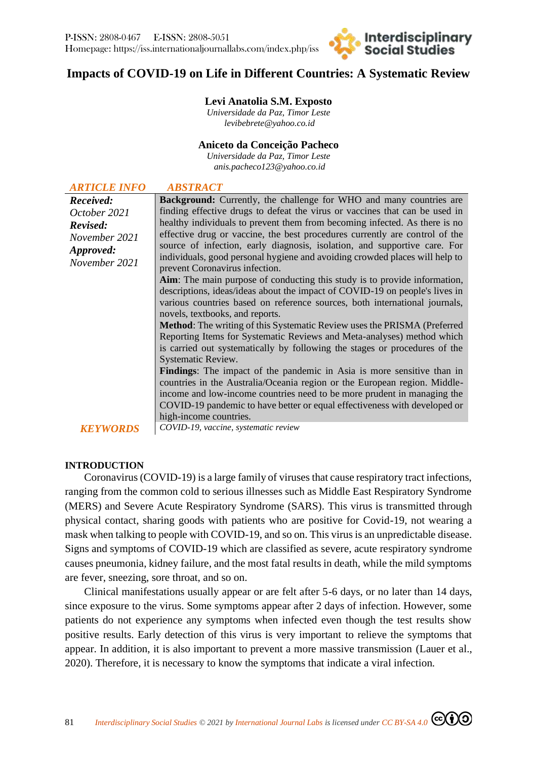# **Impacts of COVID-19 on Life in Different Countries: A Systematic Review**

**Interdisciplinary** 

# **Levi Anatolia S.M. Exposto**

*Universidade da Paz, Timor Leste [levibebrete@yahoo.co.id](mailto:levibebrete@yahoo.co.id)*

#### **Aniceto da Conceição Pacheco**

*Universidade da Paz, Timor Leste [anis.pacheco123@yahoo.co.id](mailto:anis.pacheco123@yahoo.co.id)*

| <b>ARTICLE INFO</b>                                                                         | <b>ABSTRACT</b>                                                                                                                                                                                                                                                                                                                                                                                                                                                                                                                                                                                                                                                                                                                                                                                                                                                                                                                                                                                                                                                                                                                                                                                                                                                                                                                                                                          |
|---------------------------------------------------------------------------------------------|------------------------------------------------------------------------------------------------------------------------------------------------------------------------------------------------------------------------------------------------------------------------------------------------------------------------------------------------------------------------------------------------------------------------------------------------------------------------------------------------------------------------------------------------------------------------------------------------------------------------------------------------------------------------------------------------------------------------------------------------------------------------------------------------------------------------------------------------------------------------------------------------------------------------------------------------------------------------------------------------------------------------------------------------------------------------------------------------------------------------------------------------------------------------------------------------------------------------------------------------------------------------------------------------------------------------------------------------------------------------------------------|
| Received:<br>October 2021<br>Revised:<br>November 2021<br><i>Approved:</i><br>November 2021 | <b>Background:</b> Currently, the challenge for WHO and many countries are<br>finding effective drugs to defeat the virus or vaccines that can be used in<br>healthy individuals to prevent them from becoming infected. As there is no<br>effective drug or vaccine, the best procedures currently are control of the<br>source of infection, early diagnosis, isolation, and supportive care. For<br>individuals, good personal hygiene and avoiding crowded places will help to<br>prevent Coronavirus infection.<br>Aim: The main purpose of conducting this study is to provide information,<br>descriptions, ideas/ideas about the impact of COVID-19 on people's lives in<br>various countries based on reference sources, both international journals,<br>novels, textbooks, and reports.<br><b>Method:</b> The writing of this Systematic Review uses the PRISMA (Preferred<br>Reporting Items for Systematic Reviews and Meta-analyses) method which<br>is carried out systematically by following the stages or procedures of the<br>Systematic Review.<br><b>Findings:</b> The impact of the pandemic in Asia is more sensitive than in<br>countries in the Australia/Oceania region or the European region. Middle-<br>income and low-income countries need to be more prudent in managing the<br>COVID-19 pandemic to have better or equal effectiveness with developed or |
| <b>KEYWORDS</b>                                                                             | high-income countries.<br>COVID-19, vaccine, systematic review                                                                                                                                                                                                                                                                                                                                                                                                                                                                                                                                                                                                                                                                                                                                                                                                                                                                                                                                                                                                                                                                                                                                                                                                                                                                                                                           |

#### **INTRODUCTION**

Coronavirus (COVID-19) is a large family of viruses that cause respiratory tract infections, ranging from the common cold to serious illnesses such as Middle East Respiratory Syndrome (MERS) and Severe Acute Respiratory Syndrome (SARS). This virus is transmitted through physical contact, sharing goods with patients who are positive for Covid-19, not wearing a mask when talking to people with COVID-19, and so on. This virus is an unpredictable disease. Signs and symptoms of COVID-19 which are classified as severe, acute respiratory syndrome causes pneumonia, kidney failure, and the most fatal results in death, while the mild symptoms are fever, sneezing, sore throat, and so on.

Clinical manifestations usually appear or are felt after 5-6 days, or no later than 14 days, since exposure to the virus. Some symptoms appear after 2 days of infection. However, some patients do not experience any symptoms when infected even though the test results show positive results. Early detection of this virus is very important to relieve the symptoms that appear. In addition, it is also important to prevent a more massive transmission (Lauer et al., 2020). Therefore, it is necessary to know the symptoms that indicate a viral infection.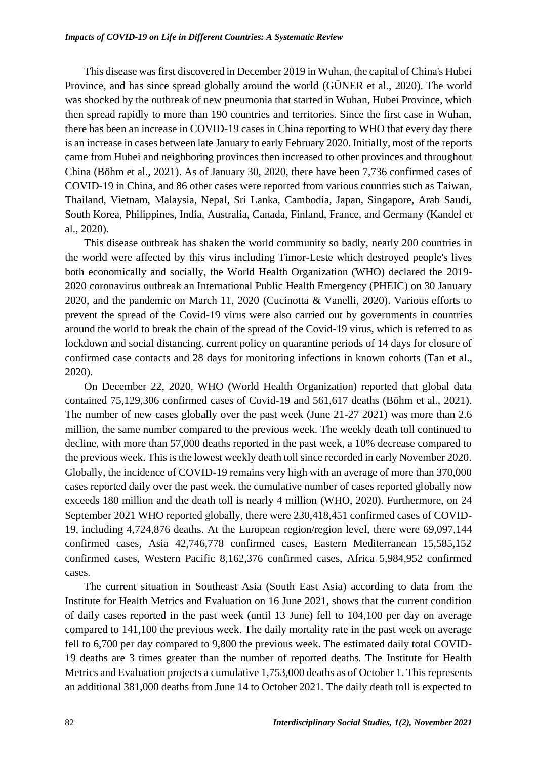This disease was first discovered in December 2019 in Wuhan, the capital of China's Hubei Province, and has since spread globally around the world (GÜNER et al., 2020). The world was shocked by the outbreak of new pneumonia that started in Wuhan, Hubei Province, which then spread rapidly to more than 190 countries and territories. Since the first case in Wuhan, there has been an increase in COVID-19 cases in China reporting to WHO that every day there is an increase in cases between late January to early February 2020. Initially, most of the reports came from Hubei and neighboring provinces then increased to other provinces and throughout China (Böhm et al., 2021). As of January 30, 2020, there have been 7,736 confirmed cases of COVID-19 in China, and 86 other cases were reported from various countries such as Taiwan, Thailand, Vietnam, Malaysia, Nepal, Sri Lanka, Cambodia, Japan, Singapore, Arab Saudi, South Korea, Philippines, India, Australia, Canada, Finland, France, and Germany (Kandel et al., 2020).

This disease outbreak has shaken the world community so badly, nearly 200 countries in the world were affected by this virus including Timor-Leste which destroyed people's lives both economically and socially, the World Health Organization (WHO) declared the 2019- 2020 coronavirus outbreak an International Public Health Emergency (PHEIC) on 30 January 2020, and the pandemic on March 11, 2020 (Cucinotta & Vanelli, 2020). Various efforts to prevent the spread of the Covid-19 virus were also carried out by governments in countries around the world to break the chain of the spread of the Covid-19 virus, which is referred to as lockdown and social distancing. current policy on quarantine periods of 14 days for closure of confirmed case contacts and 28 days for monitoring infections in known cohorts (Tan et al., 2020).

On December 22, 2020, WHO (World Health Organization) reported that global data contained 75,129,306 confirmed cases of Covid-19 and 561,617 deaths (Böhm et al., 2021). The number of new cases globally over the past week (June 21-27 2021) was more than 2.6 million, the same number compared to the previous week. The weekly death toll continued to decline, with more than 57,000 deaths reported in the past week, a 10% decrease compared to the previous week. This is the lowest weekly death toll since recorded in early November 2020. Globally, the incidence of COVID-19 remains very high with an average of more than 370,000 cases reported daily over the past week. the cumulative number of cases reported globally now exceeds 180 million and the death toll is nearly 4 million (WHO, 2020). Furthermore, on 24 September 2021 WHO reported globally, there were 230,418,451 confirmed cases of COVID-19, including 4,724,876 deaths. At the European region/region level, there were 69,097,144 confirmed cases, Asia 42,746,778 confirmed cases, Eastern Mediterranean 15,585,152 confirmed cases, Western Pacific 8,162,376 confirmed cases, Africa 5,984,952 confirmed cases.

The current situation in Southeast Asia (South East Asia) according to data from the Institute for Health Metrics and Evaluation on 16 June 2021, shows that the current condition of daily cases reported in the past week (until 13 June) fell to 104,100 per day on average compared to 141,100 the previous week. The daily mortality rate in the past week on average fell to 6,700 per day compared to 9,800 the previous week. The estimated daily total COVID-19 deaths are 3 times greater than the number of reported deaths. The Institute for Health Metrics and Evaluation projects a cumulative 1,753,000 deaths as of October 1. This represents an additional 381,000 deaths from June 14 to October 2021. The daily death toll is expected to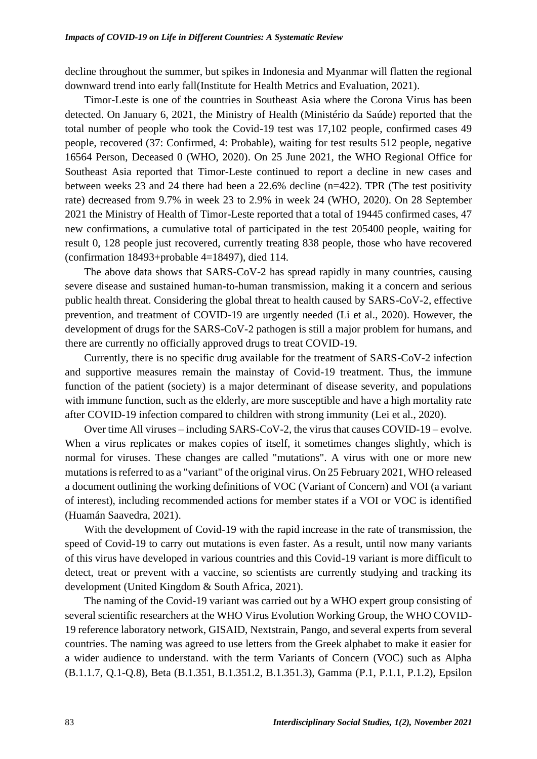decline throughout the summer, but spikes in Indonesia and Myanmar will flatten the regional downward trend into early fall(Institute for Health Metrics and Evaluation, 2021).

Timor-Leste is one of the countries in Southeast Asia where the Corona Virus has been detected. On January 6, 2021, the Ministry of Health (Ministério da Saúde) reported that the total number of people who took the Covid-19 test was 17,102 people, confirmed cases 49 people, recovered (37: Confirmed, 4: Probable), waiting for test results 512 people, negative 16564 Person, Deceased 0 (WHO, 2020). On 25 June 2021, the WHO Regional Office for Southeast Asia reported that Timor-Leste continued to report a decline in new cases and between weeks 23 and 24 there had been a 22.6% decline (n=422). TPR (The test positivity rate) decreased from 9.7% in week 23 to 2.9% in week 24 (WHO, 2020). On 28 September 2021 the Ministry of Health of Timor-Leste reported that a total of 19445 confirmed cases, 47 new confirmations, a cumulative total of participated in the test 205400 people, waiting for result 0, 128 people just recovered, currently treating 838 people, those who have recovered (confirmation 18493+probable 4=18497), died 114.

The above data shows that SARS-CoV-2 has spread rapidly in many countries, causing severe disease and sustained human-to-human transmission, making it a concern and serious public health threat. Considering the global threat to health caused by SARS-CoV-2, effective prevention, and treatment of COVID-19 are urgently needed (Li et al., 2020). However, the development of drugs for the SARS-CoV-2 pathogen is still a major problem for humans, and there are currently no officially approved drugs to treat COVID-19.

Currently, there is no specific drug available for the treatment of SARS-CoV-2 infection and supportive measures remain the mainstay of Covid-19 treatment. Thus, the immune function of the patient (society) is a major determinant of disease severity, and populations with immune function, such as the elderly, are more susceptible and have a high mortality rate after COVID-19 infection compared to children with strong immunity (Lei et al., 2020).

Over time All viruses – including SARS-CoV-2, the virus that causes COVID-19 – evolve. When a virus replicates or makes copies of itself, it sometimes changes slightly, which is normal for viruses. These changes are called "mutations". A virus with one or more new mutations is referred to as a "variant" of the original virus. On 25 February 2021, WHO released a document outlining the working definitions of VOC (Variant of Concern) and VOI (a variant of interest), including recommended actions for member states if a VOI or VOC is identified (Huamán Saavedra, 2021).

With the development of Covid-19 with the rapid increase in the rate of transmission, the speed of Covid-19 to carry out mutations is even faster. As a result, until now many variants of this virus have developed in various countries and this Covid-19 variant is more difficult to detect, treat or prevent with a vaccine, so scientists are currently studying and tracking its development (United Kingdom & South Africa, 2021).

The naming of the Covid-19 variant was carried out by a WHO expert group consisting of several scientific researchers at the WHO Virus Evolution Working Group, the WHO COVID-19 reference laboratory network, GISAID, Nextstrain, Pango, and several experts from several countries. The naming was agreed to use letters from the Greek alphabet to make it easier for a wider audience to understand. with the term Variants of Concern (VOC) such as Alpha (B.1.1.7, Q.1-Q.8), Beta (B.1.351, B.1.351.2, B.1.351.3), Gamma (P.1, P.1.1, P.1.2), Epsilon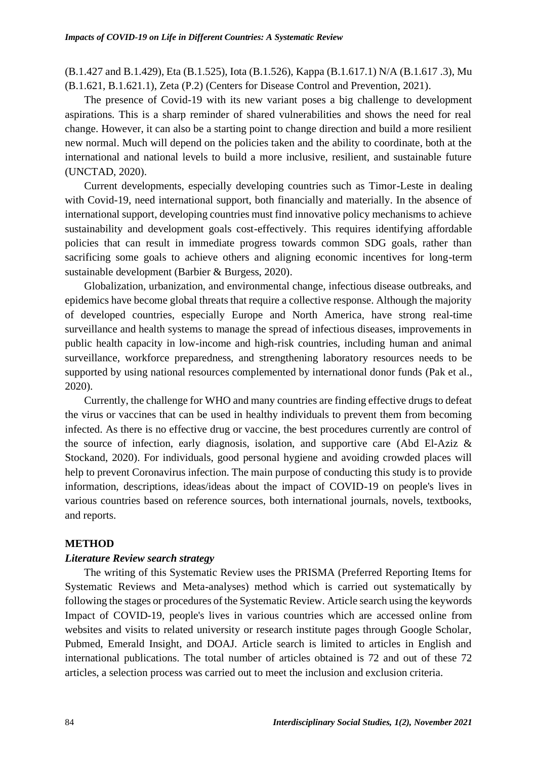(B.1.427 and B.1.429), Eta (B.1.525), Iota (B.1.526), Kappa (B.1.617.1) N/A (B.1.617 .3), Mu (B.1.621, B.1.621.1), Zeta (P.2) (Centers for Disease Control and Prevention, 2021).

The presence of Covid-19 with its new variant poses a big challenge to development aspirations. This is a sharp reminder of shared vulnerabilities and shows the need for real change. However, it can also be a starting point to change direction and build a more resilient new normal. Much will depend on the policies taken and the ability to coordinate, both at the international and national levels to build a more inclusive, resilient, and sustainable future (UNCTAD, 2020).

Current developments, especially developing countries such as Timor-Leste in dealing with Covid-19, need international support, both financially and materially. In the absence of international support, developing countries must find innovative policy mechanisms to achieve sustainability and development goals cost-effectively. This requires identifying affordable policies that can result in immediate progress towards common SDG goals, rather than sacrificing some goals to achieve others and aligning economic incentives for long-term sustainable development (Barbier & Burgess, 2020).

Globalization, urbanization, and environmental change, infectious disease outbreaks, and epidemics have become global threats that require a collective response. Although the majority of developed countries, especially Europe and North America, have strong real-time surveillance and health systems to manage the spread of infectious diseases, improvements in public health capacity in low-income and high-risk countries, including human and animal surveillance, workforce preparedness, and strengthening laboratory resources needs to be supported by using national resources complemented by international donor funds (Pak et al., 2020).

Currently, the challenge for WHO and many countries are finding effective drugs to defeat the virus or vaccines that can be used in healthy individuals to prevent them from becoming infected. As there is no effective drug or vaccine, the best procedures currently are control of the source of infection, early diagnosis, isolation, and supportive care (Abd El-Aziz & Stockand, 2020). For individuals, good personal hygiene and avoiding crowded places will help to prevent Coronavirus infection. The main purpose of conducting this study is to provide information, descriptions, ideas/ideas about the impact of COVID-19 on people's lives in various countries based on reference sources, both international journals, novels, textbooks, and reports.

#### **METHOD**

#### *Literature Review search strategy*

The writing of this Systematic Review uses the PRISMA (Preferred Reporting Items for Systematic Reviews and Meta-analyses) method which is carried out systematically by following the stages or procedures of the Systematic Review. Article search using the keywords Impact of COVID-19, people's lives in various countries which are accessed online from websites and visits to related university or research institute pages through Google Scholar, Pubmed, Emerald Insight, and DOAJ. Article search is limited to articles in English and international publications. The total number of articles obtained is 72 and out of these 72 articles, a selection process was carried out to meet the inclusion and exclusion criteria.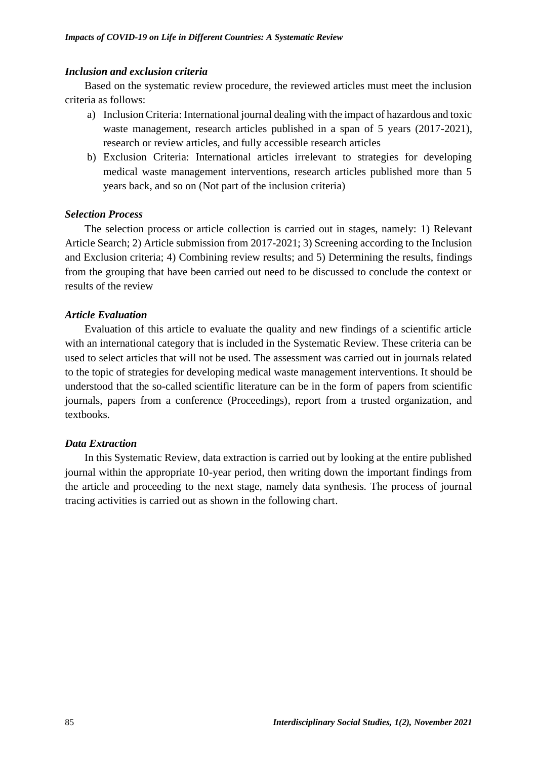# *Inclusion and exclusion criteria*

Based on the systematic review procedure, the reviewed articles must meet the inclusion criteria as follows:

- a) Inclusion Criteria: International journal dealing with the impact of hazardous and toxic waste management, research articles published in a span of 5 years (2017-2021), research or review articles, and fully accessible research articles
- b) Exclusion Criteria: International articles irrelevant to strategies for developing medical waste management interventions, research articles published more than 5 years back, and so on (Not part of the inclusion criteria)

# *Selection Process*

The selection process or article collection is carried out in stages, namely: 1) Relevant Article Search; 2) Article submission from 2017-2021; 3) Screening according to the Inclusion and Exclusion criteria; 4) Combining review results; and 5) Determining the results, findings from the grouping that have been carried out need to be discussed to conclude the context or results of the review

# *Article Evaluation*

Evaluation of this article to evaluate the quality and new findings of a scientific article with an international category that is included in the Systematic Review. These criteria can be used to select articles that will not be used. The assessment was carried out in journals related to the topic of strategies for developing medical waste management interventions. It should be understood that the so-called scientific literature can be in the form of papers from scientific journals, papers from a conference (Proceedings), report from a trusted organization, and textbooks.

#### *Data Extraction*

In this Systematic Review, data extraction is carried out by looking at the entire published journal within the appropriate 10-year period, then writing down the important findings from the article and proceeding to the next stage, namely data synthesis. The process of journal tracing activities is carried out as shown in the following chart.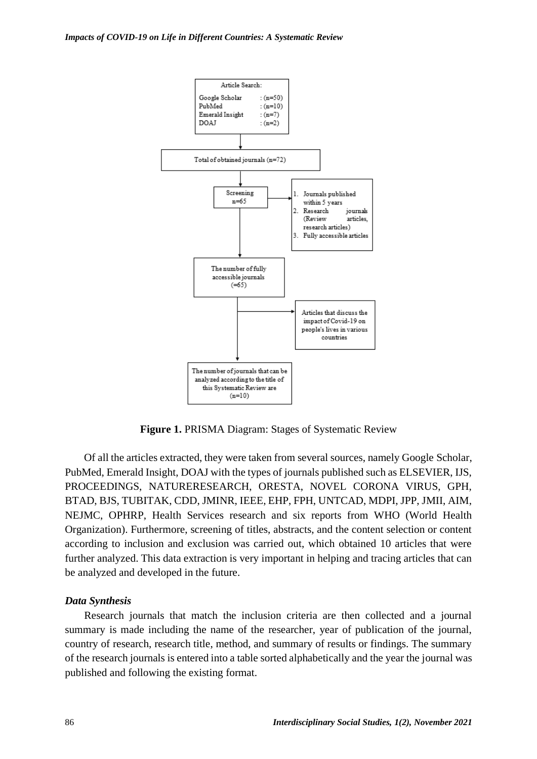

**Figure 1.** PRISMA Diagram: Stages of Systematic Review

Of all the articles extracted, they were taken from several sources, namely Google Scholar, PubMed, Emerald Insight, DOAJ with the types of journals published such as ELSEVIER, IJS, PROCEEDINGS, NATURERESEARCH, ORESTA, NOVEL CORONA VIRUS, GPH, BTAD, BJS, TUBITAK, CDD, JMINR, IEEE, EHP, FPH, UNTCAD, MDPI, JPP, JMII, AIM, NEJMC, OPHRP, Health Services research and six reports from WHO (World Health Organization). Furthermore, screening of titles, abstracts, and the content selection or content according to inclusion and exclusion was carried out, which obtained 10 articles that were further analyzed. This data extraction is very important in helping and tracing articles that can be analyzed and developed in the future.

#### *Data Synthesis*

Research journals that match the inclusion criteria are then collected and a journal summary is made including the name of the researcher, year of publication of the journal, country of research, research title, method, and summary of results or findings. The summary of the research journals is entered into a table sorted alphabetically and the year the journal was published and following the existing format.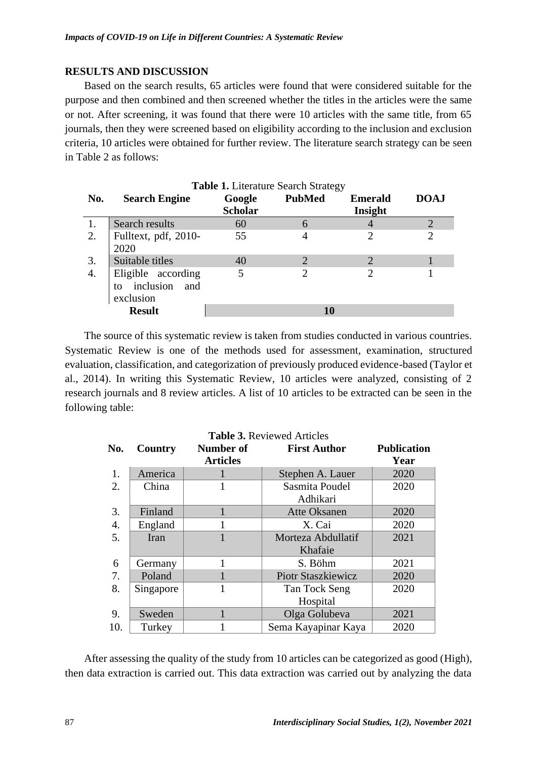# **RESULTS AND DISCUSSION**

Based on the search results, 65 articles were found that were considered suitable for the purpose and then combined and then screened whether the titles in the articles were the same or not. After screening, it was found that there were 10 articles with the same title, from 65 journals, then they were screened based on eligibility according to the inclusion and exclusion criteria, 10 articles were obtained for further review. The literature search strategy can be seen in Table 2 as follows:

|     |                                                           | <b>Table 1.</b> Literature Search Strategy |                |                |                |
|-----|-----------------------------------------------------------|--------------------------------------------|----------------|----------------|----------------|
| No. | <b>Search Engine</b>                                      | Google                                     | <b>PubMed</b>  | <b>Emerald</b> | <b>DOAJ</b>    |
|     |                                                           | <b>Scholar</b>                             |                | Insight        |                |
|     | Search results                                            | 60                                         | 6              |                | $\overline{2}$ |
| 2.  | Fulltext, pdf, 2010-<br>2020                              | 55                                         | 4              |                |                |
| 3.  | Suitable titles                                           | 40                                         | $\overline{2}$ |                |                |
| 4.  | Eligible according<br>inclusion<br>and<br>to<br>exclusion | 5                                          | 2              |                |                |
|     | <b>Result</b>                                             |                                            | 10             |                |                |

The source of this systematic review is taken from studies conducted in various countries. Systematic Review is one of the methods used for assessment, examination, structured evaluation, classification, and categorization of previously produced evidence-based (Taylor et al., 2014). In writing this Systematic Review, 10 articles were analyzed, consisting of 2 research journals and 8 review articles. A list of 10 articles to be extracted can be seen in the following table:

| <b>Table 3. Reviewed Articles</b> |           |                 |                           |                    |  |  |  |
|-----------------------------------|-----------|-----------------|---------------------------|--------------------|--|--|--|
| No.                               | Country   | Number of       | <b>First Author</b>       | <b>Publication</b> |  |  |  |
|                                   |           | <b>Articles</b> |                           | Year               |  |  |  |
| 1.                                | America   |                 | Stephen A. Lauer          | 2020               |  |  |  |
| 2.                                | China     |                 | Sasmita Poudel            | 2020               |  |  |  |
|                                   |           |                 | Adhikari                  |                    |  |  |  |
| 3.                                | Finland   |                 | <b>Atte Oksanen</b>       | 2020               |  |  |  |
| $\overline{4}$ .                  | England   |                 | X. Cai                    | 2020               |  |  |  |
| 5.                                | Iran      |                 | Morteza Abdullatif        | 2021               |  |  |  |
|                                   |           |                 | Khafaie                   |                    |  |  |  |
| 6                                 | Germany   |                 | S. Böhm                   | 2021               |  |  |  |
| 7.                                | Poland    |                 | <b>Piotr Staszkiewicz</b> | 2020               |  |  |  |
| 8.                                | Singapore | 1               | Tan Tock Seng             | 2020               |  |  |  |
|                                   |           |                 | Hospital                  |                    |  |  |  |
| 9.                                | Sweden    |                 | Olga Golubeva             | 2021               |  |  |  |
| 10.                               | Turkey    |                 | Sema Kayapinar Kaya       | 2020               |  |  |  |

After assessing the quality of the study from 10 articles can be categorized as good (High), then data extraction is carried out. This data extraction was carried out by analyzing the data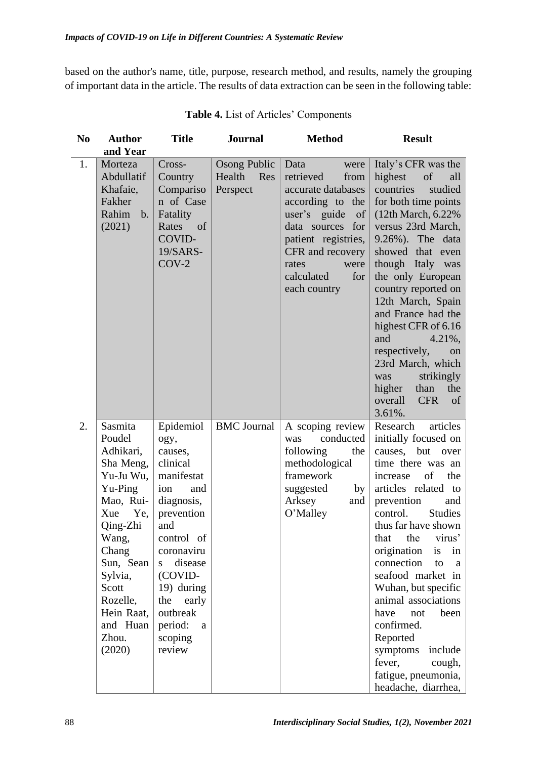based on the author's name, title, purpose, research method, and results, namely the grouping of important data in the article. The results of data extraction can be seen in the following table:

| N <sub>0</sub> | <b>Author</b>                                                                                                                                                                                                          | <b>Title</b>                                                                                                                                                                                                                                  | <b>Journal</b>                                   | <b>Method</b>                                                                                                                                                                                                          | <b>Result</b>                                                                                                                                                                                                                                                                                                                                                                                                                                                                                       |
|----------------|------------------------------------------------------------------------------------------------------------------------------------------------------------------------------------------------------------------------|-----------------------------------------------------------------------------------------------------------------------------------------------------------------------------------------------------------------------------------------------|--------------------------------------------------|------------------------------------------------------------------------------------------------------------------------------------------------------------------------------------------------------------------------|-----------------------------------------------------------------------------------------------------------------------------------------------------------------------------------------------------------------------------------------------------------------------------------------------------------------------------------------------------------------------------------------------------------------------------------------------------------------------------------------------------|
|                | and Year                                                                                                                                                                                                               |                                                                                                                                                                                                                                               |                                                  |                                                                                                                                                                                                                        |                                                                                                                                                                                                                                                                                                                                                                                                                                                                                                     |
| 1.             | Morteza<br>Abdullatif<br>Khafaie,<br>Fakher<br>Rahim<br>$\mathbf{b}$ .<br>(2021)                                                                                                                                       | Cross-<br>Country<br>Compariso<br>n of Case<br>Fatality<br>Rates<br>of<br>COVID-<br>19/SARS-<br>$COV-2$                                                                                                                                       | <b>Osong Public</b><br>Health<br>Res<br>Perspect | Data<br>were<br>retrieved<br>from<br>accurate databases<br>according to the<br>user's guide<br>of<br>data sources for<br>patient registries,<br>CFR and recovery<br>rates<br>were<br>calculated<br>for<br>each country | Italy's CFR was the<br>highest<br>of<br>all<br>studied<br>countries<br>for both time points<br>$(12th March, 6.22\%)$<br>versus 23rd March,<br>9.26%). The data<br>showed that even<br>though Italy was<br>the only European<br>country reported on<br>12th March, Spain<br>and France had the<br>highest CFR of 6.16<br>and<br>$4.21\%$ ,<br>respectively,<br>on<br>23rd March, which<br>strikingly<br>was<br>higher<br>than<br>the<br>overall<br><b>CFR</b><br>of<br>3.61%.                       |
| 2.             | Sasmita<br>Poudel<br>Adhikari,<br>Sha Meng,<br>Yu-Ju Wu,<br>Yu-Ping<br>Mao, Rui-<br>Xue<br>Ye,<br>Qing-Zhi<br>Wang,<br>Chang<br>Sun, Sean<br>Sylvia,<br>Scott<br>Rozelle,<br>Hein Raat,<br>and Huan<br>Zhou.<br>(2020) | Epidemiol<br>ogy,<br>causes,<br>clinical<br>manifestat<br>ion<br>and<br>diagnosis,<br>prevention<br>and<br>control of<br>coronaviru<br>disease<br>S<br>(COVID-<br>19) during<br>the<br>early<br>outbreak<br>period:<br>a<br>scoping<br>review | <b>BMC</b> Journal                               | A scoping review<br>conducted<br>was<br>following<br>the<br>methodological<br>framework<br>suggested<br>by<br>Arksey<br>and<br>O'Malley                                                                                | Research<br>articles<br>initially focused on<br>causes, but over<br>time there was an<br>the<br>of<br>increase<br>articles related to<br>prevention<br>and<br><b>Studies</b><br>control.<br>thus far have shown<br>that the virus'<br>origination<br>is<br>in<br>connection<br>to<br>a<br>seafood market in<br>Wuhan, but specific<br>animal associations<br>have<br>been<br>not<br>confirmed.<br>Reported<br>include<br>symptoms<br>fever,<br>cough,<br>fatigue, pneumonia,<br>headache, diarrhea, |

**Table 4.** List of Articles' Components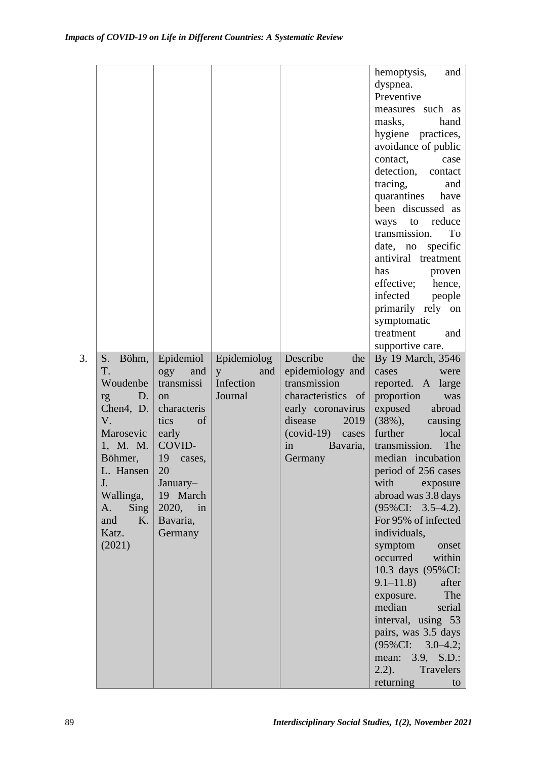|    |                      |              |                     |                       | hemoptysis,<br>and               |
|----|----------------------|--------------|---------------------|-----------------------|----------------------------------|
|    |                      |              |                     |                       | dyspnea.                         |
|    |                      |              |                     |                       | Preventive                       |
|    |                      |              |                     |                       | measures such as                 |
|    |                      |              |                     |                       | masks,<br>hand                   |
|    |                      |              |                     |                       | hygiene practices,               |
|    |                      |              |                     |                       | avoidance of public              |
|    |                      |              |                     |                       | contact,<br>case                 |
|    |                      |              |                     |                       | detection, contact               |
|    |                      |              |                     |                       | tracing,<br>and                  |
|    |                      |              |                     |                       | quarantines<br>have              |
|    |                      |              |                     |                       | been discussed as                |
|    |                      |              |                     |                       | ways to reduce                   |
|    |                      |              |                     |                       | To<br>transmission.              |
|    |                      |              |                     |                       | specific<br>date, no             |
|    |                      |              |                     |                       | antiviral treatment              |
|    |                      |              |                     |                       | has<br>proven                    |
|    |                      |              |                     |                       | effective; hence,                |
|    |                      |              |                     |                       | infected people                  |
|    |                      |              |                     |                       | primarily rely on<br>symptomatic |
|    |                      |              |                     |                       | treatment<br>and                 |
|    |                      |              |                     |                       | supportive care.                 |
| 3. | $S_{\cdot}$<br>Böhm, | Epidemiol    | Epidemiolog         | Describe<br>the       | By 19 March, 3546                |
|    | T.                   | and<br>ogy   | $\mathbf{y}$<br>and | epidemiology and      | cases<br>were                    |
|    | Woudenbe             | transmissi   | Infection           | transmission          | reported. A large                |
|    | D.<br>rg             | on           | Journal             | characteristics of    | proportion<br>was                |
|    | Chen4, D.            | characteris  |                     | early coronavirus     | exposed<br>abroad                |
|    | V.                   | of<br>tics   |                     | disease<br>2019       | $(38\%),$<br>causing             |
|    | Marosevic            | early        |                     | $(covid-19)$<br>cases | further<br>local                 |
|    | 1, M. M.             | COVID-       |                     | in<br>Bavaria,        | The<br>transmission.             |
|    | Böhmer,              | 19<br>cases, |                     | Germany               | median incubation                |
|    | L. Hansen            | 20           |                     |                       | period of 256 cases              |
|    | J.                   | January-     |                     |                       | with<br>exposure                 |
|    | Wallinga,            | 19 March     |                     |                       | abroad was 3.8 days              |
|    | <b>Sing</b><br>A.    | 2020, in     |                     |                       | $(95\%CI: 3.5–4.2).$             |
|    | K.<br>and            | Bavaria,     |                     |                       | For 95% of infected              |
|    | Katz.                | Germany      |                     |                       | individuals,                     |
|    | (2021)               |              |                     |                       | symptom<br>onset                 |
|    |                      |              |                     |                       | occurred<br>within               |
|    |                      |              |                     |                       | 10.3 days (95%CI:                |
|    |                      |              |                     |                       | $9.1 - 11.8$<br>after<br>The     |
|    |                      |              |                     |                       | exposure.<br>median<br>serial    |
|    |                      |              |                     |                       | interval, using 53               |
|    |                      |              |                     |                       | pairs, was 3.5 days              |
|    |                      |              |                     |                       | (95%CI:<br>$3.0 - 4.2;$          |
|    |                      |              |                     |                       | mean: 3.9, S.D.:                 |
|    |                      |              |                     |                       | Travelers<br>$2.2$ ).            |
|    |                      |              |                     |                       | returning<br>to                  |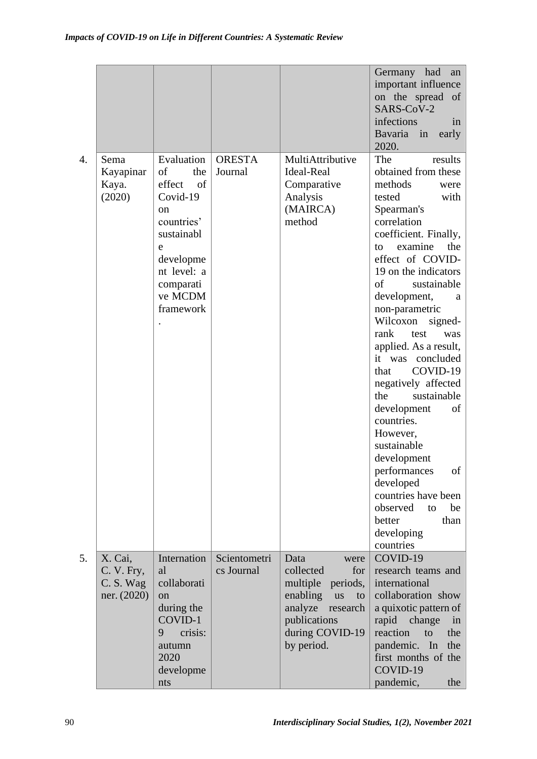|                  |                                                   |                                                                                                                                                             |                            |                                                                                                                                                                 | Germany<br>had<br>an<br>important influence<br>on the spread<br>of<br>SARS-CoV-2<br>infections<br>in<br>Bavaria<br>in<br>early<br>2020.                                                                                                                                                                                                                                                                                                                                                                                                                                                                                                  |
|------------------|---------------------------------------------------|-------------------------------------------------------------------------------------------------------------------------------------------------------------|----------------------------|-----------------------------------------------------------------------------------------------------------------------------------------------------------------|------------------------------------------------------------------------------------------------------------------------------------------------------------------------------------------------------------------------------------------------------------------------------------------------------------------------------------------------------------------------------------------------------------------------------------------------------------------------------------------------------------------------------------------------------------------------------------------------------------------------------------------|
| $\overline{4}$ . | Sema<br>Kayapinar<br>Kaya.<br>(2020)              | Evaluation<br>of<br>the<br>effect<br>of<br>Covid-19<br>on<br>countries'<br>sustainabl<br>e<br>developme<br>nt level: a<br>comparati<br>ve MCDM<br>framework | <b>ORESTA</b><br>Journal   | MultiAttributive<br><b>Ideal-Real</b><br>Comparative<br>Analysis<br>(MAIRCA)<br>method                                                                          | The<br>results<br>obtained from these<br>methods<br>were<br>tested<br>with<br>Spearman's<br>correlation<br>coefficient. Finally,<br>the<br>examine<br>to<br>effect of COVID-<br>19 on the indicators<br>of<br>sustainable<br>development,<br>a<br>non-parametric<br>Wilcoxon<br>signed-<br>rank<br>test<br>was<br>applied. As a result,<br>it was concluded<br>COVID-19<br>that<br>negatively affected<br>sustainable<br>the<br>development<br>of<br>countries.<br>However,<br>sustainable<br>development<br>of<br>performances<br>developed<br>countries have been<br>observed<br>be<br>to<br>better<br>than<br>developing<br>countries |
| 5.               | X. Cai,<br>C. V. Fry,<br>C. S. Wag<br>ner. (2020) | Internation<br>al<br>collaborati<br><sub>on</sub><br>during the<br>COVID-1<br>crisis:<br>9<br>autumn<br>2020<br>developme<br>nts                            | Scientometri<br>cs Journal | Data<br>were<br>collected<br>for<br>multiple<br>periods,<br>enabling<br><b>us</b><br>to<br>analyze<br>research<br>publications<br>during COVID-19<br>by period. | COVID-19<br>research teams and<br>international<br>collaboration show<br>a quixotic pattern of<br>rapid<br>change<br>in<br>reaction<br>the<br>to<br>pandemic. In<br>the<br>first months of the<br>COVID-19<br>pandemic,<br>the                                                                                                                                                                                                                                                                                                                                                                                                           |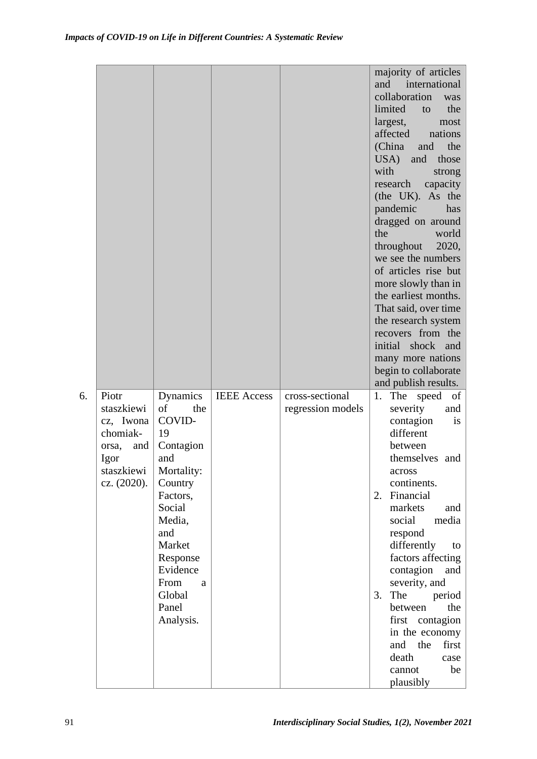|    |                                                                                                   |                                                                                                                                                                                                          |                    |                                      | majority of articles<br>and<br>international<br>collaboration<br>was<br>the<br>limited<br>to<br>largest,<br>most<br>affected nations<br>(China<br>the<br>and<br>USA) and<br>those<br>with<br>strong<br>research<br>capacity<br>(the UK). As the<br>pandemic<br>has<br>dragged on around<br>the<br>world<br>2020,<br>throughout<br>we see the numbers<br>of articles rise but<br>more slowly than in<br>the earliest months.<br>That said, over time<br>the research system<br>recovers from the<br>initial shock and<br>many more nations<br>begin to collaborate<br>and publish results. |
|----|---------------------------------------------------------------------------------------------------|----------------------------------------------------------------------------------------------------------------------------------------------------------------------------------------------------------|--------------------|--------------------------------------|-------------------------------------------------------------------------------------------------------------------------------------------------------------------------------------------------------------------------------------------------------------------------------------------------------------------------------------------------------------------------------------------------------------------------------------------------------------------------------------------------------------------------------------------------------------------------------------------|
| 6. | Piotr<br>staszkiewi<br>cz, Iwona<br>chomiak-<br>orsa,<br>and<br>Igor<br>staszkiewi<br>cz. (2020). | Dynamics<br>of<br>the<br>COVID-<br>19<br>Contagion<br>and<br>Mortality:<br>Country<br>Factors,<br>Social<br>Media,<br>and<br>Market<br>Response<br>Evidence<br>From<br>a<br>Global<br>Panel<br>Analysis. | <b>IEEE</b> Access | cross-sectional<br>regression models | The speed<br>1.<br>of<br>severity<br>and<br>contagion<br><i>is</i><br>different<br>between<br>themselves and<br>across<br>continents.<br>Financial<br>2.<br>markets<br>and<br>social<br>media<br>respond<br>differently<br>to<br>factors affecting<br>contagion<br>and<br>severity, and<br>The<br>period<br>3.<br>between<br>the<br>first contagion<br>in the economy<br>first<br>and<br>the<br>death<br>case                                                                                                                                                                             |
|    |                                                                                                   |                                                                                                                                                                                                          |                    |                                      | cannot<br>be<br>plausibly                                                                                                                                                                                                                                                                                                                                                                                                                                                                                                                                                                 |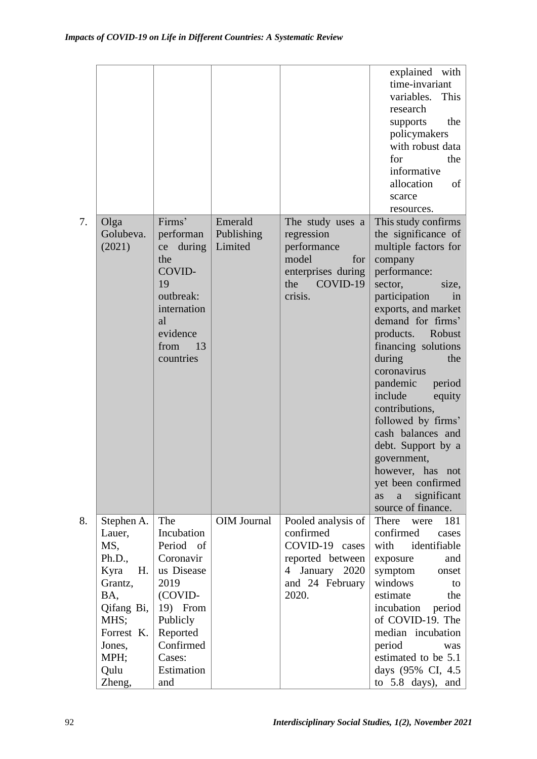|    |                    |                      |                       |                                | explained with<br>time-invariant           |
|----|--------------------|----------------------|-----------------------|--------------------------------|--------------------------------------------|
|    |                    |                      |                       |                                | variables.<br>This                         |
|    |                    |                      |                       |                                | research                                   |
|    |                    |                      |                       |                                | the<br>supports                            |
|    |                    |                      |                       |                                | policymakers                               |
|    |                    |                      |                       |                                | with robust data                           |
|    |                    |                      |                       |                                | the<br>for                                 |
|    |                    |                      |                       |                                | informative                                |
|    |                    |                      |                       |                                | allocation<br>of                           |
|    |                    |                      |                       |                                | scarce                                     |
|    |                    | Firms'               |                       |                                | resources.                                 |
| 7. | Olga<br>Golubeva.  | performan            | Emerald<br>Publishing | The study uses a<br>regression | This study confirms<br>the significance of |
|    | (2021)             | during<br>ce         | Limited               | performance                    | multiple factors for                       |
|    |                    | the                  |                       | model<br>for                   | company                                    |
|    |                    | COVID-               |                       | enterprises during             | performance:                               |
|    |                    | 19                   |                       | COVID-19<br>the                | sector,<br>size,                           |
|    |                    | outbreak:            |                       | crisis.                        | participation<br>in                        |
|    |                    | internation          |                       |                                | exports, and market                        |
|    |                    | al                   |                       |                                | demand for firms'                          |
|    |                    | evidence             |                       |                                | products.<br>Robust                        |
|    |                    | 13<br>from           |                       |                                | financing solutions                        |
|    |                    | countries            |                       |                                | during<br>the                              |
|    |                    |                      |                       |                                | coronavirus                                |
|    |                    |                      |                       |                                | pandemic<br>period                         |
|    |                    |                      |                       |                                | include<br>equity                          |
|    |                    |                      |                       |                                | contributions,                             |
|    |                    |                      |                       |                                | followed by firms'<br>cash balances and    |
|    |                    |                      |                       |                                | debt. Support by a                         |
|    |                    |                      |                       |                                | government,                                |
|    |                    |                      |                       |                                | however, has not                           |
|    |                    |                      |                       |                                | yet been confirmed                         |
|    |                    |                      |                       |                                | significant<br>as<br>a                     |
|    |                    |                      |                       |                                | source of finance.                         |
| 8. | Stephen A.         | The                  | OIM Journal           | Pooled analysis of             | There<br>181<br>were                       |
|    | Lauer,             | Incubation           |                       | confirmed                      | confirmed<br>cases                         |
|    | MS,                | Period of            |                       | COVID-19 cases                 | with<br>identifiable                       |
|    | Ph.D.,             | Coronavir            |                       | reported between               | exposure<br>and                            |
|    | Kyra<br>H.         | us Disease           |                       | January 2020<br>4              | symptom<br>onset                           |
|    | Grantz,            | 2019                 |                       | and 24 February                | windows<br>to                              |
|    | BA,                | (COVID-              |                       | 2020.                          | estimate<br>the                            |
|    | Qifang Bi, $ $     | 19) From             |                       |                                | incubation<br>period<br>of COVID-19. The   |
|    | MHS;<br>Forrest K. | Publicly<br>Reported |                       |                                | median incubation                          |
|    | Jones,             | Confirmed            |                       |                                | period<br>was                              |
|    | MPH;               | Cases:               |                       |                                | estimated to be 5.1                        |
|    | Qulu               | Estimation           |                       |                                | days (95% CI, 4.5)                         |
|    | Zheng,             | and                  |                       |                                | to 5.8 days), and                          |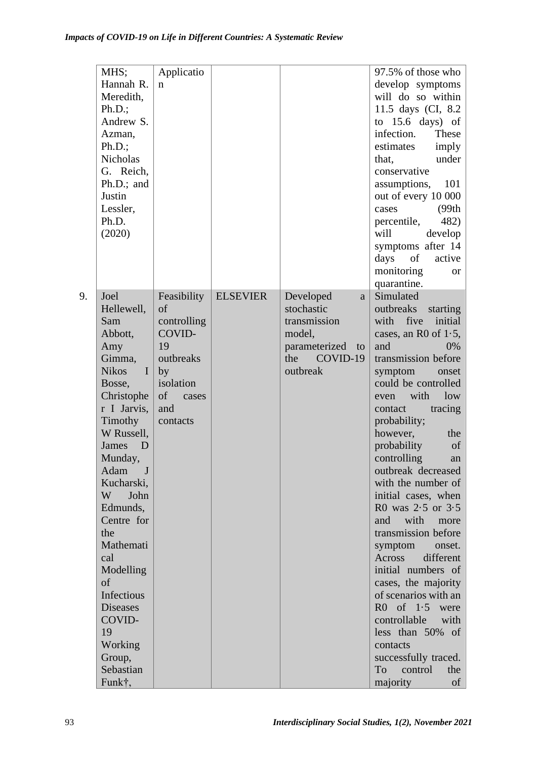|    | MHS;                         | Applicatio  |                 |                     | 97.5% of those who      |
|----|------------------------------|-------------|-----------------|---------------------|-------------------------|
|    | Hannah R.                    | $\mathbf n$ |                 |                     | develop symptoms        |
|    | Meredith,                    |             |                 |                     | will do so within       |
|    | Ph.D.;                       |             |                 |                     | 11.5 days (CI, 8.2)     |
|    | Andrew S.                    |             |                 |                     | to $15.6$ days) of      |
|    | Azman,                       |             |                 |                     | infection.<br>These     |
|    | Ph.D.;                       |             |                 |                     | estimates<br>imply      |
|    | <b>Nicholas</b>              |             |                 |                     | under<br>that,          |
|    | G. Reich,                    |             |                 |                     | conservative            |
|    | Ph.D.; and                   |             |                 |                     | 101<br>assumptions,     |
|    | Justin                       |             |                 |                     | out of every 10 000     |
|    | Lessler,                     |             |                 |                     | (99th)<br>cases         |
|    | Ph.D.                        |             |                 |                     | percentile,<br>482)     |
|    | (2020)                       |             |                 |                     | will<br>develop         |
|    |                              |             |                 |                     | symptoms after 14       |
|    |                              |             |                 |                     | of<br>days<br>active    |
|    |                              |             |                 |                     | monitoring<br><b>or</b> |
|    |                              |             |                 |                     | quarantine.             |
| 9. | Joel                         | Feasibility | <b>ELSEVIER</b> | Developed<br>a      | Simulated               |
|    | Hellewell,                   | of          |                 | stochastic          | outbreaks<br>starting   |
|    | Sam                          | controlling |                 | transmission        | with five<br>initial    |
|    | Abbott,                      | COVID-      |                 | model,              | cases, an R0 of $1.5$ , |
|    | Amy                          | 19          |                 | parameterized<br>to | and<br>0%               |
|    | Gimma,                       | outbreaks   |                 | COVID-19<br>the     | transmission before     |
|    | <b>Nikos</b><br>$\mathbf{I}$ | by          |                 | outbreak            | symptom<br>onset        |
|    | Bosse,                       | isolation   |                 |                     | could be controlled     |
|    | Christophe                   | of<br>cases |                 |                     | with<br>low<br>even     |
|    | r I Jarvis,                  | and         |                 |                     | tracing<br>contact      |
|    | Timothy                      | contacts    |                 |                     | probability;            |
|    | W Russell,                   |             |                 |                     | however,<br>the         |
|    | James<br>$\Box$              |             |                 |                     | probability<br>of       |
|    | Munday,                      |             |                 |                     | controlling<br>an       |
|    | Adam<br>J                    |             |                 |                     | outbreak decreased      |
|    | Kucharski,                   |             |                 |                     | with the number of      |
|    | W<br>John                    |             |                 |                     | initial cases, when     |
|    | Edmunds,                     |             |                 |                     | R0 was $2.5$ or $3.5$   |
|    | Centre for                   |             |                 |                     | and<br>with<br>more     |
|    | the                          |             |                 |                     | transmission before     |
|    | Mathemati                    |             |                 |                     | symptom<br>onset.       |
|    | cal                          |             |                 |                     | Across<br>different     |
|    | Modelling                    |             |                 |                     | initial numbers of      |
|    | of                           |             |                 |                     | cases, the majority     |
|    | Infectious                   |             |                 |                     | of scenarios with an    |
|    | <b>Diseases</b>              |             |                 |                     | $R0$ of $1.5$<br>were   |
|    | COVID-                       |             |                 |                     | controllable<br>with    |
|    | 19                           |             |                 |                     | less than 50% of        |
|    | Working                      |             |                 |                     | contacts                |
|    | Group,                       |             |                 |                     | successfully traced.    |
|    | Sebastian                    |             |                 |                     | To<br>control<br>the    |
|    | Funk†,                       |             |                 |                     | majority<br>of          |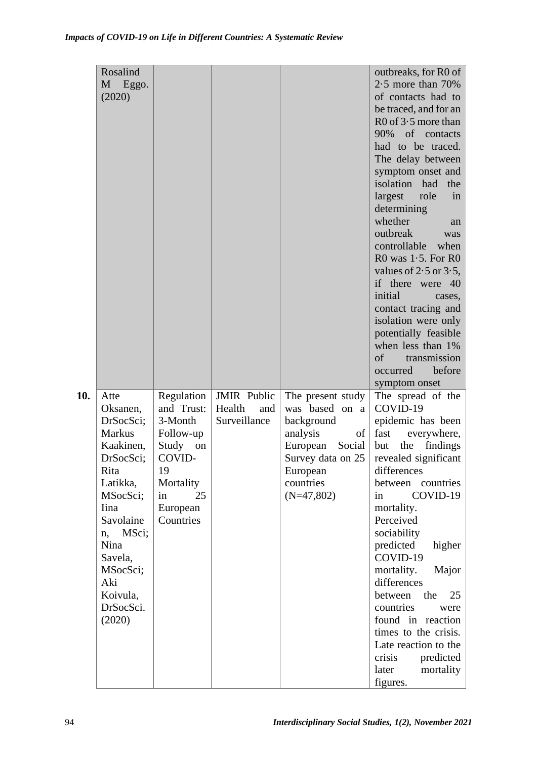|     | Rosalind<br>M Eggo.<br>(2020)                  |                                                  |                                                     |                                                                     | outbreaks, for R0 of<br>$2.5$ more than $70\%$<br>of contacts had to<br>be traced, and for an<br>$R0$ of 3.5 more than<br>90% of contacts<br>had to be traced.<br>The delay between<br>symptom onset and<br>isolation had<br>the<br>role<br>largest<br>in<br>determining<br>whether<br>an<br>outbreak<br>was<br>controllable<br>when<br>R0 was $1.5$ . For R0<br>values of $2.5$ or $3.5$ ,<br>if there were 40<br>initial<br>cases,<br>contact tracing and<br>isolation were only<br>potentially feasible<br>when less than 1%<br>of<br>transmission<br>before<br>occurred<br>symptom onset |
|-----|------------------------------------------------|--------------------------------------------------|-----------------------------------------------------|---------------------------------------------------------------------|----------------------------------------------------------------------------------------------------------------------------------------------------------------------------------------------------------------------------------------------------------------------------------------------------------------------------------------------------------------------------------------------------------------------------------------------------------------------------------------------------------------------------------------------------------------------------------------------|
| 10. | Atte<br>Oksanen,<br>DrSocSci;<br><b>Markus</b> | Regulation<br>and Trust:<br>3-Month<br>Follow-up | <b>JMIR</b> Public<br>Health<br>and<br>Surveillance | The present study<br>was based on a<br>background<br>analysis<br>of | The spread of the<br>COVID-19<br>epidemic has been<br>fast<br>everywhere,                                                                                                                                                                                                                                                                                                                                                                                                                                                                                                                    |
|     | Kaakinen,<br>DrSocSci:<br>Rita                 | Study<br>on<br>COVID-<br>19                      |                                                     | European<br>Social<br>Survey data on 25<br>European                 | but<br>findings<br>the<br>revealed significant<br>differences                                                                                                                                                                                                                                                                                                                                                                                                                                                                                                                                |
|     | Latikka,<br>MSocSci;<br>Iina                   | Mortality<br>25<br>in<br>European                |                                                     | countries<br>$(N=47,802)$                                           | between countries<br>COVID-19<br>in<br>mortality.                                                                                                                                                                                                                                                                                                                                                                                                                                                                                                                                            |
|     | Savolaine<br>MSci;<br>n,                       | Countries                                        |                                                     |                                                                     | Perceived<br>sociability                                                                                                                                                                                                                                                                                                                                                                                                                                                                                                                                                                     |
|     | Nina<br>Savela,<br>MSocSci;                    |                                                  |                                                     |                                                                     | predicted<br>higher<br>COVID-19<br>mortality.<br>Major                                                                                                                                                                                                                                                                                                                                                                                                                                                                                                                                       |
|     | Aki<br>Koivula,                                |                                                  |                                                     |                                                                     | differences<br>the<br>25<br>between                                                                                                                                                                                                                                                                                                                                                                                                                                                                                                                                                          |
|     | DrSocSci.<br>(2020)                            |                                                  |                                                     |                                                                     | countries<br>were<br>found in reaction                                                                                                                                                                                                                                                                                                                                                                                                                                                                                                                                                       |
|     |                                                |                                                  |                                                     |                                                                     | times to the crisis.<br>Late reaction to the                                                                                                                                                                                                                                                                                                                                                                                                                                                                                                                                                 |
|     |                                                |                                                  |                                                     |                                                                     | predicted<br>crisis                                                                                                                                                                                                                                                                                                                                                                                                                                                                                                                                                                          |
|     |                                                |                                                  |                                                     |                                                                     | mortality<br>later<br>figures.                                                                                                                                                                                                                                                                                                                                                                                                                                                                                                                                                               |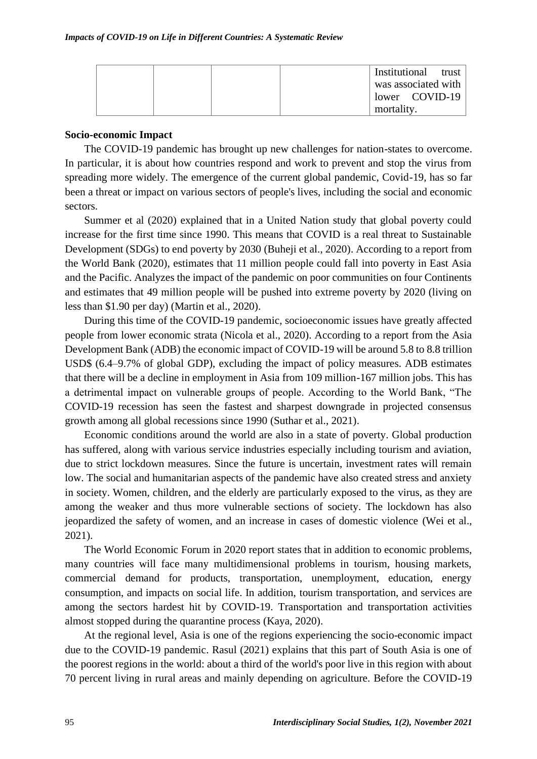|  |  | Institutional trust |  |
|--|--|---------------------|--|
|  |  | was associated with |  |
|  |  | lower COVID-19      |  |
|  |  | mortality.          |  |

#### **Socio-economic Impact**

The COVID-19 pandemic has brought up new challenges for nation-states to overcome. In particular, it is about how countries respond and work to prevent and stop the virus from spreading more widely. The emergence of the current global pandemic, Covid-19, has so far been a threat or impact on various sectors of people's lives, including the social and economic sectors.

Summer et al (2020) explained that in a United Nation study that global poverty could increase for the first time since 1990. This means that COVID is a real threat to Sustainable Development (SDGs) to end poverty by 2030 (Buheji et al., 2020). According to a report from the World Bank (2020), estimates that 11 million people could fall into poverty in East Asia and the Pacific. Analyzes the impact of the pandemic on poor communities on four Continents and estimates that 49 million people will be pushed into extreme poverty by 2020 (living on less than \$1.90 per day) (Martin et al., 2020).

During this time of the COVID-19 pandemic, socioeconomic issues have greatly affected people from lower economic strata (Nicola et al., 2020). According to a report from the Asia Development Bank (ADB) the economic impact of COVID-19 will be around 5.8 to 8.8 trillion USD\$ (6.4–9.7% of global GDP), excluding the impact of policy measures. ADB estimates that there will be a decline in employment in Asia from 109 million-167 million jobs. This has a detrimental impact on vulnerable groups of people. According to the World Bank, "The COVID-19 recession has seen the fastest and sharpest downgrade in projected consensus growth among all global recessions since 1990 (Suthar et al., 2021).

Economic conditions around the world are also in a state of poverty. Global production has suffered, along with various service industries especially including tourism and aviation, due to strict lockdown measures. Since the future is uncertain, investment rates will remain low. The social and humanitarian aspects of the pandemic have also created stress and anxiety in society. Women, children, and the elderly are particularly exposed to the virus, as they are among the weaker and thus more vulnerable sections of society. The lockdown has also jeopardized the safety of women, and an increase in cases of domestic violence (Wei et al., 2021).

The World Economic Forum in 2020 report states that in addition to economic problems, many countries will face many multidimensional problems in tourism, housing markets, commercial demand for products, transportation, unemployment, education, energy consumption, and impacts on social life. In addition, tourism transportation, and services are among the sectors hardest hit by COVID-19. Transportation and transportation activities almost stopped during the quarantine process (Kaya, 2020).

At the regional level, Asia is one of the regions experiencing the socio-economic impact due to the COVID-19 pandemic. Rasul (2021) explains that this part of South Asia is one of the poorest regions in the world: about a third of the world's poor live in this region with about 70 percent living in rural areas and mainly depending on agriculture. Before the COVID-19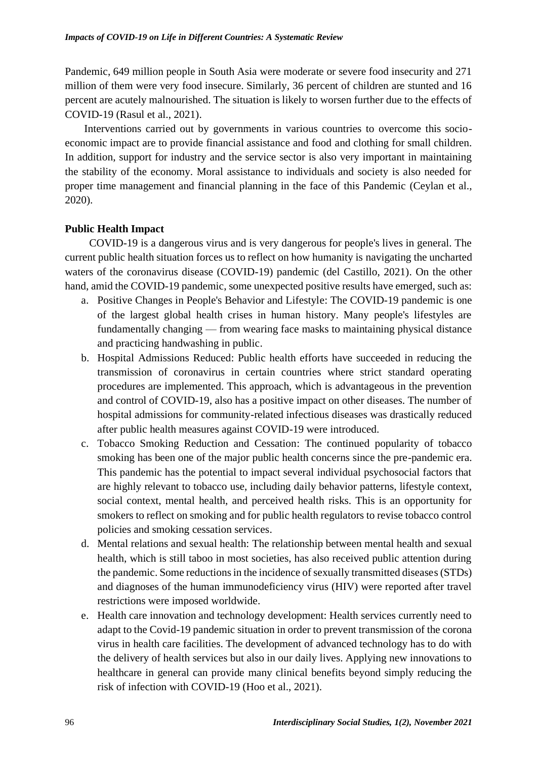Pandemic, 649 million people in South Asia were moderate or severe food insecurity and 271 million of them were very food insecure. Similarly, 36 percent of children are stunted and 16 percent are acutely malnourished. The situation is likely to worsen further due to the effects of COVID-19 (Rasul et al., 2021).

Interventions carried out by governments in various countries to overcome this socioeconomic impact are to provide financial assistance and food and clothing for small children. In addition, support for industry and the service sector is also very important in maintaining the stability of the economy. Moral assistance to individuals and society is also needed for proper time management and financial planning in the face of this Pandemic (Ceylan et al., 2020).

# **Public Health Impact**

COVID-19 is a dangerous virus and is very dangerous for people's lives in general. The current public health situation forces us to reflect on how humanity is navigating the uncharted waters of the coronavirus disease (COVID-19) pandemic (del Castillo, 2021). On the other hand, amid the COVID-19 pandemic, some unexpected positive results have emerged, such as:

- a. Positive Changes in People's Behavior and Lifestyle: The COVID-19 pandemic is one of the largest global health crises in human history. Many people's lifestyles are fundamentally changing — from wearing face masks to maintaining physical distance and practicing handwashing in public.
- b. Hospital Admissions Reduced: Public health efforts have succeeded in reducing the transmission of coronavirus in certain countries where strict standard operating procedures are implemented. This approach, which is advantageous in the prevention and control of COVID-19, also has a positive impact on other diseases. The number of hospital admissions for community-related infectious diseases was drastically reduced after public health measures against COVID-19 were introduced.
- c. Tobacco Smoking Reduction and Cessation: The continued popularity of tobacco smoking has been one of the major public health concerns since the pre-pandemic era. This pandemic has the potential to impact several individual psychosocial factors that are highly relevant to tobacco use, including daily behavior patterns, lifestyle context, social context, mental health, and perceived health risks. This is an opportunity for smokers to reflect on smoking and for public health regulators to revise tobacco control policies and smoking cessation services.
- d. Mental relations and sexual health: The relationship between mental health and sexual health, which is still taboo in most societies, has also received public attention during the pandemic. Some reductions in the incidence of sexually transmitted diseases (STDs) and diagnoses of the human immunodeficiency virus (HIV) were reported after travel restrictions were imposed worldwide.
- e. Health care innovation and technology development: Health services currently need to adapt to the Covid-19 pandemic situation in order to prevent transmission of the corona virus in health care facilities. The development of advanced technology has to do with the delivery of health services but also in our daily lives. Applying new innovations to healthcare in general can provide many clinical benefits beyond simply reducing the risk of infection with COVID-19 (Hoo et al., 2021).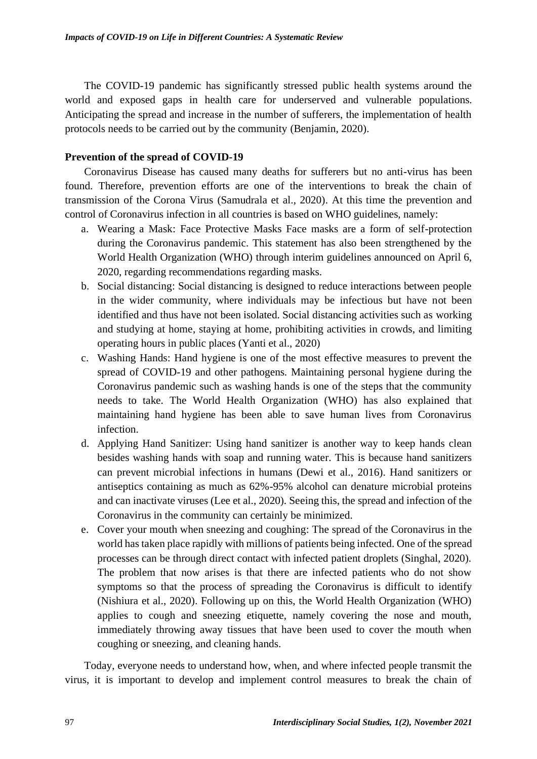The COVID-19 pandemic has significantly stressed public health systems around the world and exposed gaps in health care for underserved and vulnerable populations. Anticipating the spread and increase in the number of sufferers, the implementation of health protocols needs to be carried out by the community (Benjamin, 2020).

# **Prevention of the spread of COVID-19**

Coronavirus Disease has caused many deaths for sufferers but no anti-virus has been found. Therefore, prevention efforts are one of the interventions to break the chain of transmission of the Corona Virus (Samudrala et al., 2020). At this time the prevention and control of Coronavirus infection in all countries is based on WHO guidelines, namely:

- a. Wearing a Mask: Face Protective Masks Face masks are a form of self-protection during the Coronavirus pandemic. This statement has also been strengthened by the World Health Organization (WHO) through interim guidelines announced on April 6, 2020, regarding recommendations regarding masks.
- b. Social distancing: Social distancing is designed to reduce interactions between people in the wider community, where individuals may be infectious but have not been identified and thus have not been isolated. Social distancing activities such as working and studying at home, staying at home, prohibiting activities in crowds, and limiting operating hours in public places (Yanti et al., 2020)
- c. Washing Hands: Hand hygiene is one of the most effective measures to prevent the spread of COVID-19 and other pathogens. Maintaining personal hygiene during the Coronavirus pandemic such as washing hands is one of the steps that the community needs to take. The World Health Organization (WHO) has also explained that maintaining hand hygiene has been able to save human lives from Coronavirus infection.
- d. Applying Hand Sanitizer: Using hand sanitizer is another way to keep hands clean besides washing hands with soap and running water. This is because hand sanitizers can prevent microbial infections in humans (Dewi et al., 2016). Hand sanitizers or antiseptics containing as much as 62%-95% alcohol can denature microbial proteins and can inactivate viruses (Lee et al., 2020). Seeing this, the spread and infection of the Coronavirus in the community can certainly be minimized.
- e. Cover your mouth when sneezing and coughing: The spread of the Coronavirus in the world has taken place rapidly with millions of patients being infected. One of the spread processes can be through direct contact with infected patient droplets (Singhal, 2020). The problem that now arises is that there are infected patients who do not show symptoms so that the process of spreading the Coronavirus is difficult to identify (Nishiura et al., 2020). Following up on this, the World Health Organization (WHO) applies to cough and sneezing etiquette, namely covering the nose and mouth, immediately throwing away tissues that have been used to cover the mouth when coughing or sneezing, and cleaning hands.

Today, everyone needs to understand how, when, and where infected people transmit the virus, it is important to develop and implement control measures to break the chain of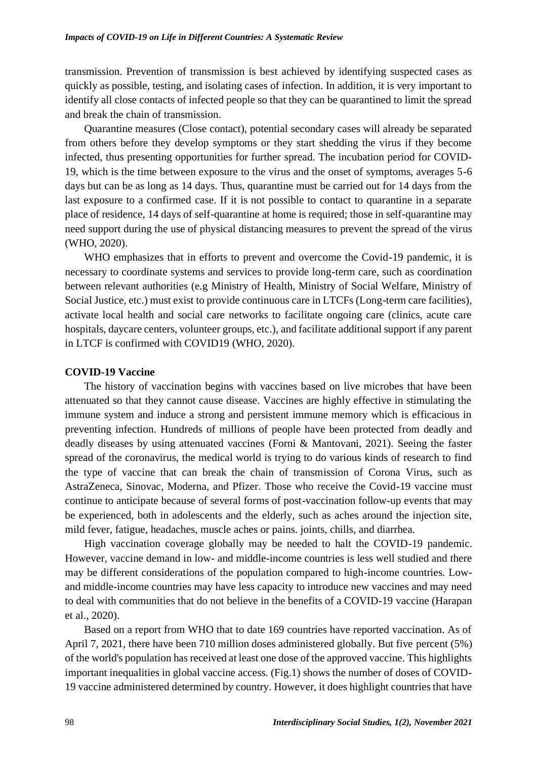transmission. Prevention of transmission is best achieved by identifying suspected cases as quickly as possible, testing, and isolating cases of infection. In addition, it is very important to identify all close contacts of infected people so that they can be quarantined to limit the spread and break the chain of transmission.

Quarantine measures (Close contact), potential secondary cases will already be separated from others before they develop symptoms or they start shedding the virus if they become infected, thus presenting opportunities for further spread. The incubation period for COVID-19, which is the time between exposure to the virus and the onset of symptoms, averages 5-6 days but can be as long as 14 days. Thus, quarantine must be carried out for 14 days from the last exposure to a confirmed case. If it is not possible to contact to quarantine in a separate place of residence, 14 days of self-quarantine at home is required; those in self-quarantine may need support during the use of physical distancing measures to prevent the spread of the virus (WHO, 2020).

WHO emphasizes that in efforts to prevent and overcome the Covid-19 pandemic, it is necessary to coordinate systems and services to provide long-term care, such as coordination between relevant authorities (e.g Ministry of Health, Ministry of Social Welfare, Ministry of Social Justice, etc.) must exist to provide continuous care in LTCFs (Long-term care facilities), activate local health and social care networks to facilitate ongoing care (clinics, acute care hospitals, daycare centers, volunteer groups, etc.), and facilitate additional support if any parent in LTCF is confirmed with COVID19 (WHO, 2020).

#### **COVID-19 Vaccine**

The history of vaccination begins with vaccines based on live microbes that have been attenuated so that they cannot cause disease. Vaccines are highly effective in stimulating the immune system and induce a strong and persistent immune memory which is efficacious in preventing infection. Hundreds of millions of people have been protected from deadly and deadly diseases by using attenuated vaccines (Forni & Mantovani, 2021). Seeing the faster spread of the coronavirus, the medical world is trying to do various kinds of research to find the type of vaccine that can break the chain of transmission of Corona Virus, such as AstraZeneca, Sinovac, Moderna, and Pfizer. Those who receive the Covid-19 vaccine must continue to anticipate because of several forms of post-vaccination follow-up events that may be experienced, both in adolescents and the elderly, such as aches around the injection site, mild fever, fatigue, headaches, muscle aches or pains. joints, chills, and diarrhea.

High vaccination coverage globally may be needed to halt the COVID-19 pandemic. However, vaccine demand in low- and middle-income countries is less well studied and there may be different considerations of the population compared to high-income countries. Lowand middle-income countries may have less capacity to introduce new vaccines and may need to deal with communities that do not believe in the benefits of a COVID-19 vaccine (Harapan et al., 2020).

Based on a report from WHO that to date 169 countries have reported vaccination. As of April 7, 2021, there have been 710 million doses administered globally. But five percent (5%) of the world's population has received at least one dose of the approved vaccine. This highlights important inequalities in global vaccine access. (Fig.1) shows the number of doses of COVID-19 vaccine administered determined by country. However, it does highlight countries that have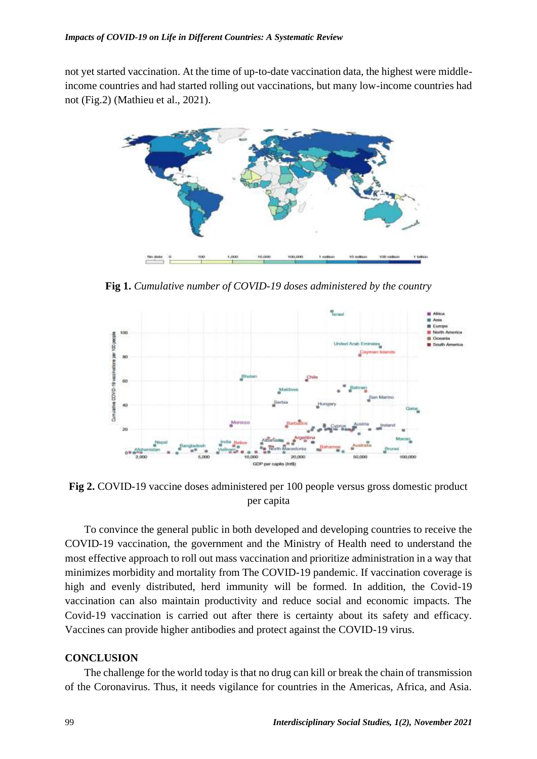not yet started vaccination. At the time of up-to-date vaccination data, the highest were middleincome countries and had started rolling out vaccinations, but many low-income countries had not (Fig.2) (Mathieu et al., 2021).



**Fig 1.** *Cumulative number of COVID-19 doses administered by the country*



**Fig 2.** COVID-19 vaccine doses administered per 100 people versus gross domestic product per capita

To convince the general public in both developed and developing countries to receive the COVID-19 vaccination, the government and the Ministry of Health need to understand the most effective approach to roll out mass vaccination and prioritize administration in a way that minimizes morbidity and mortality from The COVID-19 pandemic. If vaccination coverage is high and evenly distributed, herd immunity will be formed. In addition, the Covid-19 vaccination can also maintain productivity and reduce social and economic impacts. The Covid-19 vaccination is carried out after there is certainty about its safety and efficacy. Vaccines can provide higher antibodies and protect against the COVID-19 virus.

#### **CONCLUSION**

The challenge for the world today is that no drug can kill or break the chain of transmission of the Coronavirus. Thus, it needs vigilance for countries in the Americas, Africa, and Asia.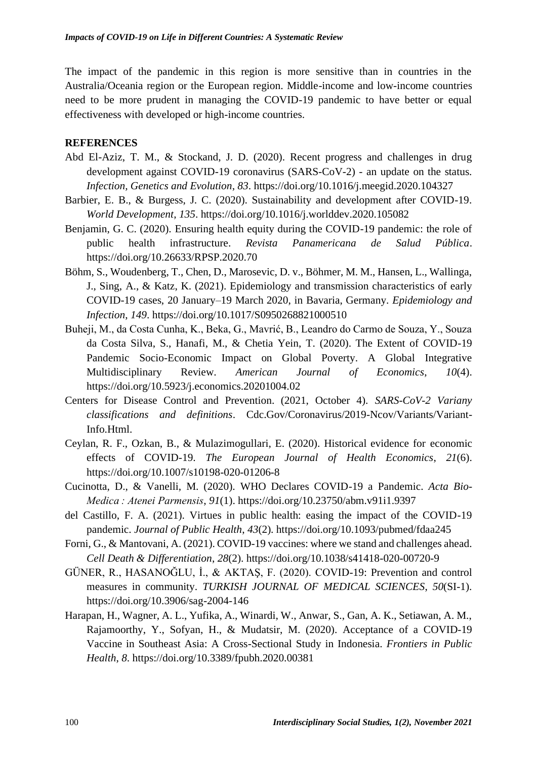The impact of the pandemic in this region is more sensitive than in countries in the Australia/Oceania region or the European region. Middle-income and low-income countries need to be more prudent in managing the COVID-19 pandemic to have better or equal effectiveness with developed or high-income countries.

#### **REFERENCES**

- Abd El-Aziz, T. M., & Stockand, J. D. (2020). Recent progress and challenges in drug development against COVID-19 coronavirus (SARS-CoV-2) - an update on the status. *Infection, Genetics and Evolution*, *83*. https://doi.org/10.1016/j.meegid.2020.104327
- Barbier, E. B., & Burgess, J. C. (2020). Sustainability and development after COVID-19. *World Development*, *135*. https://doi.org/10.1016/j.worlddev.2020.105082
- Benjamin, G. C. (2020). Ensuring health equity during the COVID-19 pandemic: the role of public health infrastructure. *Revista Panamericana de Salud Pública*. https://doi.org/10.26633/RPSP.2020.70
- Böhm, S., Woudenberg, T., Chen, D., Marosevic, D. v., Böhmer, M. M., Hansen, L., Wallinga, J., Sing, A., & Katz, K. (2021). Epidemiology and transmission characteristics of early COVID-19 cases, 20 January–19 March 2020, in Bavaria, Germany. *Epidemiology and Infection*, *149*. https://doi.org/10.1017/S0950268821000510
- Buheji, M., da Costa Cunha, K., Beka, G., Mavrić, B., Leandro do Carmo de Souza, Y., Souza da Costa Silva, S., Hanafi, M., & Chetia Yein, T. (2020). The Extent of COVID-19 Pandemic Socio-Economic Impact on Global Poverty. A Global Integrative Multidisciplinary Review. *American Journal of Economics*, *10*(4). https://doi.org/10.5923/j.economics.20201004.02
- Centers for Disease Control and Prevention. (2021, October 4). *SARS-CoV-2 Variany classifications and definitions*. Cdc.Gov/Coronavirus/2019-Ncov/Variants/Variant-Info.Html.
- Ceylan, R. F., Ozkan, B., & Mulazimogullari, E. (2020). Historical evidence for economic effects of COVID-19. *The European Journal of Health Economics*, *21*(6). https://doi.org/10.1007/s10198-020-01206-8
- Cucinotta, D., & Vanelli, M. (2020). WHO Declares COVID-19 a Pandemic. *Acta Bio-Medica : Atenei Parmensis*, *91*(1). https://doi.org/10.23750/abm.v91i1.9397
- del Castillo, F. A. (2021). Virtues in public health: easing the impact of the COVID-19 pandemic. *Journal of Public Health*, *43*(2). https://doi.org/10.1093/pubmed/fdaa245
- Forni, G., & Mantovani, A. (2021). COVID-19 vaccines: where we stand and challenges ahead. *Cell Death & Differentiation*, *28*(2). https://doi.org/10.1038/s41418-020-00720-9
- GÜNER, R., HASANOĞLU, İ., & AKTAŞ, F. (2020). COVID-19: Prevention and control measures in community. *TURKISH JOURNAL OF MEDICAL SCIENCES*, *50*(SI-1). https://doi.org/10.3906/sag-2004-146
- Harapan, H., Wagner, A. L., Yufika, A., Winardi, W., Anwar, S., Gan, A. K., Setiawan, A. M., Rajamoorthy, Y., Sofyan, H., & Mudatsir, M. (2020). Acceptance of a COVID-19 Vaccine in Southeast Asia: A Cross-Sectional Study in Indonesia. *Frontiers in Public Health*, *8*. https://doi.org/10.3389/fpubh.2020.00381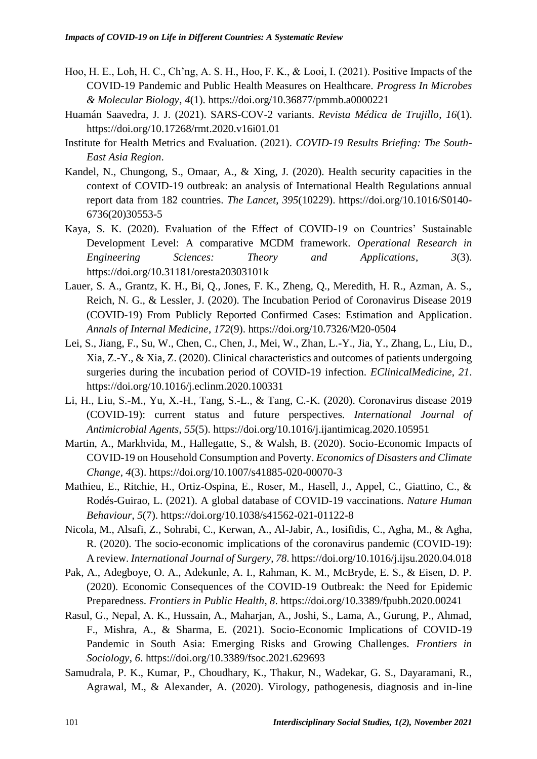- Hoo, H. E., Loh, H. C., Ch'ng, A. S. H., Hoo, F. K., & Looi, I. (2021). Positive Impacts of the COVID-19 Pandemic and Public Health Measures on Healthcare. *Progress In Microbes & Molecular Biology*, *4*(1). https://doi.org/10.36877/pmmb.a0000221
- Huamán Saavedra, J. J. (2021). SARS-COV-2 variants. *Revista Médica de Trujillo*, *16*(1). https://doi.org/10.17268/rmt.2020.v16i01.01
- Institute for Health Metrics and Evaluation. (2021). *COVID-19 Results Briefing: The South-East Asia Region*.
- Kandel, N., Chungong, S., Omaar, A., & Xing, J. (2020). Health security capacities in the context of COVID-19 outbreak: an analysis of International Health Regulations annual report data from 182 countries. *The Lancet*, *395*(10229). https://doi.org/10.1016/S0140- 6736(20)30553-5
- Kaya, S. K. (2020). Evaluation of the Effect of COVID-19 on Countries' Sustainable Development Level: A comparative MCDM framework. *Operational Research in Engineering Sciences: Theory and Applications*, *3*(3). https://doi.org/10.31181/oresta20303101k
- Lauer, S. A., Grantz, K. H., Bi, Q., Jones, F. K., Zheng, Q., Meredith, H. R., Azman, A. S., Reich, N. G., & Lessler, J. (2020). The Incubation Period of Coronavirus Disease 2019 (COVID-19) From Publicly Reported Confirmed Cases: Estimation and Application. *Annals of Internal Medicine*, *172*(9). https://doi.org/10.7326/M20-0504
- Lei, S., Jiang, F., Su, W., Chen, C., Chen, J., Mei, W., Zhan, L.-Y., Jia, Y., Zhang, L., Liu, D., Xia, Z.-Y., & Xia, Z. (2020). Clinical characteristics and outcomes of patients undergoing surgeries during the incubation period of COVID-19 infection. *EClinicalMedicine*, *21*. https://doi.org/10.1016/j.eclinm.2020.100331
- Li, H., Liu, S.-M., Yu, X.-H., Tang, S.-L., & Tang, C.-K. (2020). Coronavirus disease 2019 (COVID-19): current status and future perspectives. *International Journal of Antimicrobial Agents*, *55*(5). https://doi.org/10.1016/j.ijantimicag.2020.105951
- Martin, A., Markhvida, M., Hallegatte, S., & Walsh, B. (2020). Socio-Economic Impacts of COVID-19 on Household Consumption and Poverty. *Economics of Disasters and Climate Change*, *4*(3). https://doi.org/10.1007/s41885-020-00070-3
- Mathieu, E., Ritchie, H., Ortiz-Ospina, E., Roser, M., Hasell, J., Appel, C., Giattino, C., & Rodés-Guirao, L. (2021). A global database of COVID-19 vaccinations. *Nature Human Behaviour*, *5*(7). https://doi.org/10.1038/s41562-021-01122-8
- Nicola, M., Alsafi, Z., Sohrabi, C., Kerwan, A., Al-Jabir, A., Iosifidis, C., Agha, M., & Agha, R. (2020). The socio-economic implications of the coronavirus pandemic (COVID-19): A review. *International Journal of Surgery*, *78*. https://doi.org/10.1016/j.ijsu.2020.04.018
- Pak, A., Adegboye, O. A., Adekunle, A. I., Rahman, K. M., McBryde, E. S., & Eisen, D. P. (2020). Economic Consequences of the COVID-19 Outbreak: the Need for Epidemic Preparedness. *Frontiers in Public Health*, *8*. https://doi.org/10.3389/fpubh.2020.00241
- Rasul, G., Nepal, A. K., Hussain, A., Maharjan, A., Joshi, S., Lama, A., Gurung, P., Ahmad, F., Mishra, A., & Sharma, E. (2021). Socio-Economic Implications of COVID-19 Pandemic in South Asia: Emerging Risks and Growing Challenges. *Frontiers in Sociology*, *6*. https://doi.org/10.3389/fsoc.2021.629693
- Samudrala, P. K., Kumar, P., Choudhary, K., Thakur, N., Wadekar, G. S., Dayaramani, R., Agrawal, M., & Alexander, A. (2020). Virology, pathogenesis, diagnosis and in-line